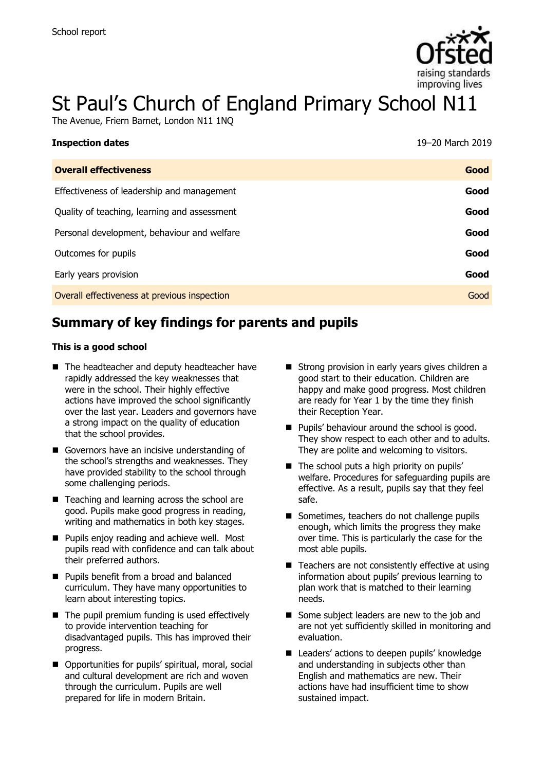

# St Paul's Church of England Primary School N11

The Avenue, Friern Barnet, London N11 1NQ

| 19–20 March 2019 |
|------------------|
| Good             |
| Good             |
| Good             |
| Good             |
| Good             |
| Good             |
| Good             |
|                  |

# **Summary of key findings for parents and pupils**

#### **This is a good school**

- The headteacher and deputy headteacher have rapidly addressed the key weaknesses that were in the school. Their highly effective actions have improved the school significantly over the last year. Leaders and governors have a strong impact on the quality of education that the school provides.
- Governors have an incisive understanding of the school's strengths and weaknesses. They have provided stability to the school through some challenging periods.
- Teaching and learning across the school are good. Pupils make good progress in reading, writing and mathematics in both key stages.
- **Pupils enjoy reading and achieve well. Most** pupils read with confidence and can talk about their preferred authors.
- **Pupils benefit from a broad and balanced** curriculum. They have many opportunities to learn about interesting topics.
- The pupil premium funding is used effectively to provide intervention teaching for disadvantaged pupils. This has improved their progress.
- Opportunities for pupils' spiritual, moral, social and cultural development are rich and woven through the curriculum. Pupils are well prepared for life in modern Britain.
- Strong provision in early years gives children a good start to their education. Children are happy and make good progress. Most children are ready for Year 1 by the time they finish their Reception Year.
- **Pupils' behaviour around the school is good.** They show respect to each other and to adults. They are polite and welcoming to visitors.
- $\blacksquare$  The school puts a high priority on pupils' welfare. Procedures for safeguarding pupils are effective. As a result, pupils say that they feel safe.
- Sometimes, teachers do not challenge pupils enough, which limits the progress they make over time. This is particularly the case for the most able pupils.
- $\blacksquare$  Teachers are not consistently effective at using information about pupils' previous learning to plan work that is matched to their learning needs.
- Some subject leaders are new to the job and are not yet sufficiently skilled in monitoring and evaluation.
- Leaders' actions to deepen pupils' knowledge and understanding in subjects other than English and mathematics are new. Their actions have had insufficient time to show sustained impact.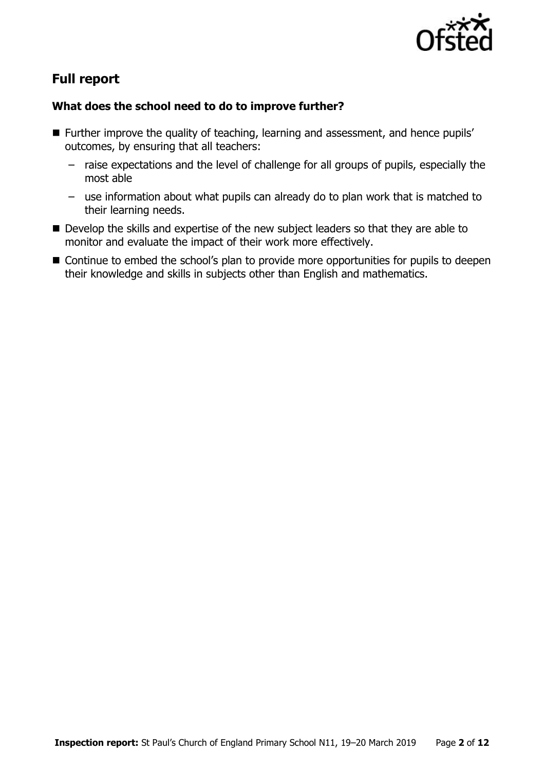

# **Full report**

### **What does the school need to do to improve further?**

- Further improve the quality of teaching, learning and assessment, and hence pupils' outcomes, by ensuring that all teachers:
	- raise expectations and the level of challenge for all groups of pupils, especially the most able
	- use information about what pupils can already do to plan work that is matched to their learning needs.
- Develop the skills and expertise of the new subject leaders so that they are able to monitor and evaluate the impact of their work more effectively.
- Continue to embed the school's plan to provide more opportunities for pupils to deepen their knowledge and skills in subjects other than English and mathematics.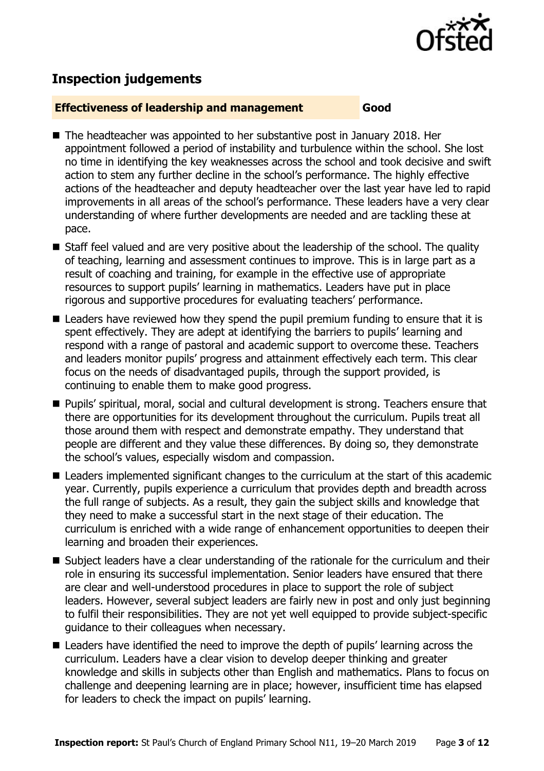

# **Inspection judgements**

#### **Effectiveness of leadership and management Good**

- The headteacher was appointed to her substantive post in January 2018. Her appointment followed a period of instability and turbulence within the school. She lost no time in identifying the key weaknesses across the school and took decisive and swift action to stem any further decline in the school's performance. The highly effective actions of the headteacher and deputy headteacher over the last year have led to rapid improvements in all areas of the school's performance. These leaders have a very clear understanding of where further developments are needed and are tackling these at pace.
- Staff feel valued and are very positive about the leadership of the school. The quality of teaching, learning and assessment continues to improve. This is in large part as a result of coaching and training, for example in the effective use of appropriate resources to support pupils' learning in mathematics. Leaders have put in place rigorous and supportive procedures for evaluating teachers' performance.
- Leaders have reviewed how they spend the pupil premium funding to ensure that it is spent effectively. They are adept at identifying the barriers to pupils' learning and respond with a range of pastoral and academic support to overcome these. Teachers and leaders monitor pupils' progress and attainment effectively each term. This clear focus on the needs of disadvantaged pupils, through the support provided, is continuing to enable them to make good progress.
- Pupils' spiritual, moral, social and cultural development is strong. Teachers ensure that there are opportunities for its development throughout the curriculum. Pupils treat all those around them with respect and demonstrate empathy. They understand that people are different and they value these differences. By doing so, they demonstrate the school's values, especially wisdom and compassion.
- Leaders implemented significant changes to the curriculum at the start of this academic year. Currently, pupils experience a curriculum that provides depth and breadth across the full range of subjects. As a result, they gain the subject skills and knowledge that they need to make a successful start in the next stage of their education. The curriculum is enriched with a wide range of enhancement opportunities to deepen their learning and broaden their experiences.
- Subject leaders have a clear understanding of the rationale for the curriculum and their role in ensuring its successful implementation. Senior leaders have ensured that there are clear and well-understood procedures in place to support the role of subject leaders. However, several subject leaders are fairly new in post and only just beginning to fulfil their responsibilities. They are not yet well equipped to provide subject-specific guidance to their colleagues when necessary.
- Leaders have identified the need to improve the depth of pupils' learning across the curriculum. Leaders have a clear vision to develop deeper thinking and greater knowledge and skills in subjects other than English and mathematics. Plans to focus on challenge and deepening learning are in place; however, insufficient time has elapsed for leaders to check the impact on pupils' learning.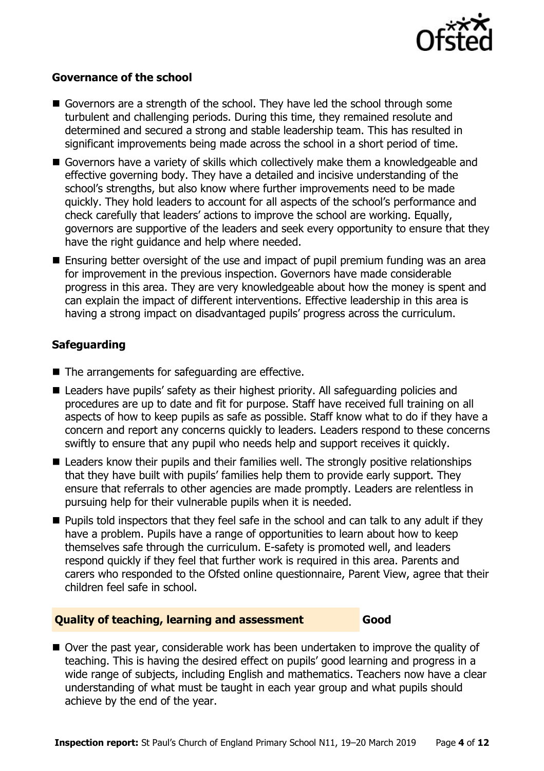

#### **Governance of the school**

- Governors are a strength of the school. They have led the school through some turbulent and challenging periods. During this time, they remained resolute and determined and secured a strong and stable leadership team. This has resulted in significant improvements being made across the school in a short period of time.
- Governors have a variety of skills which collectively make them a knowledgeable and effective governing body. They have a detailed and incisive understanding of the school's strengths, but also know where further improvements need to be made quickly. They hold leaders to account for all aspects of the school's performance and check carefully that leaders' actions to improve the school are working. Equally, governors are supportive of the leaders and seek every opportunity to ensure that they have the right guidance and help where needed.
- **Ensuring better oversight of the use and impact of pupil premium funding was an area** for improvement in the previous inspection. Governors have made considerable progress in this area. They are very knowledgeable about how the money is spent and can explain the impact of different interventions. Effective leadership in this area is having a strong impact on disadvantaged pupils' progress across the curriculum.

### **Safeguarding**

- The arrangements for safeguarding are effective.
- Leaders have pupils' safety as their highest priority. All safeguarding policies and procedures are up to date and fit for purpose. Staff have received full training on all aspects of how to keep pupils as safe as possible. Staff know what to do if they have a concern and report any concerns quickly to leaders. Leaders respond to these concerns swiftly to ensure that any pupil who needs help and support receives it quickly.
- **E** Leaders know their pupils and their families well. The strongly positive relationships that they have built with pupils' families help them to provide early support. They ensure that referrals to other agencies are made promptly. Leaders are relentless in pursuing help for their vulnerable pupils when it is needed.
- **Pupils told inspectors that they feel safe in the school and can talk to any adult if they** have a problem. Pupils have a range of opportunities to learn about how to keep themselves safe through the curriculum. E-safety is promoted well, and leaders respond quickly if they feel that further work is required in this area. Parents and carers who responded to the Ofsted online questionnaire, Parent View, agree that their children feel safe in school.

#### **Quality of teaching, learning and assessment Good**

■ Over the past year, considerable work has been undertaken to improve the quality of teaching. This is having the desired effect on pupils' good learning and progress in a wide range of subjects, including English and mathematics. Teachers now have a clear understanding of what must be taught in each year group and what pupils should achieve by the end of the year.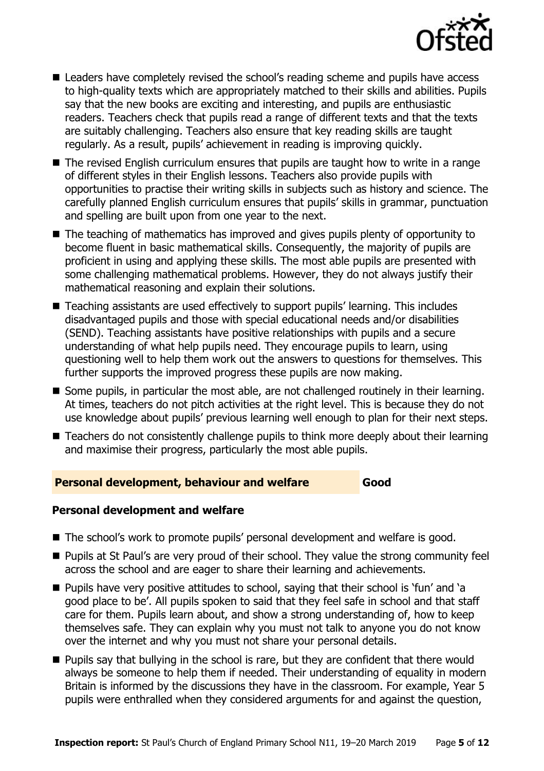

- Leaders have completely revised the school's reading scheme and pupils have access to high-quality texts which are appropriately matched to their skills and abilities. Pupils say that the new books are exciting and interesting, and pupils are enthusiastic readers. Teachers check that pupils read a range of different texts and that the texts are suitably challenging. Teachers also ensure that key reading skills are taught regularly. As a result, pupils' achievement in reading is improving quickly.
- The revised English curriculum ensures that pupils are taught how to write in a range of different styles in their English lessons. Teachers also provide pupils with opportunities to practise their writing skills in subjects such as history and science. The carefully planned English curriculum ensures that pupils' skills in grammar, punctuation and spelling are built upon from one year to the next.
- The teaching of mathematics has improved and gives pupils plenty of opportunity to become fluent in basic mathematical skills. Consequently, the majority of pupils are proficient in using and applying these skills. The most able pupils are presented with some challenging mathematical problems. However, they do not always justify their mathematical reasoning and explain their solutions.
- Teaching assistants are used effectively to support pupils' learning. This includes disadvantaged pupils and those with special educational needs and/or disabilities (SEND). Teaching assistants have positive relationships with pupils and a secure understanding of what help pupils need. They encourage pupils to learn, using questioning well to help them work out the answers to questions for themselves. This further supports the improved progress these pupils are now making.
- Some pupils, in particular the most able, are not challenged routinely in their learning. At times, teachers do not pitch activities at the right level. This is because they do not use knowledge about pupils' previous learning well enough to plan for their next steps.
- Teachers do not consistently challenge pupils to think more deeply about their learning and maximise their progress, particularly the most able pupils.

**Personal development, behaviour and welfare Good** 

### **Personal development and welfare**

- The school's work to promote pupils' personal development and welfare is good.
- **Pupils at St Paul's are very proud of their school. They value the strong community feel** across the school and are eager to share their learning and achievements.
- **Pupils have very positive attitudes to school, saying that their school is 'fun' and 'a** good place to be'. All pupils spoken to said that they feel safe in school and that staff care for them. Pupils learn about, and show a strong understanding of, how to keep themselves safe. They can explain why you must not talk to anyone you do not know over the internet and why you must not share your personal details.
- **Pupils say that bullying in the school is rare, but they are confident that there would** always be someone to help them if needed. Their understanding of equality in modern Britain is informed by the discussions they have in the classroom. For example, Year 5 pupils were enthralled when they considered arguments for and against the question,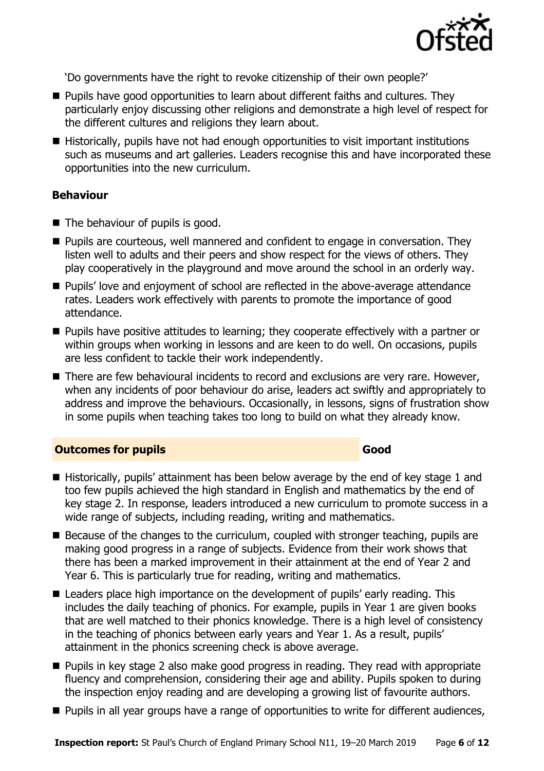

'Do governments have the right to revoke citizenship of their own people?'

- **Pupils have good opportunities to learn about different faiths and cultures. They** particularly enjoy discussing other religions and demonstrate a high level of respect for the different cultures and religions they learn about.
- Historically, pupils have not had enough opportunities to visit important institutions such as museums and art galleries. Leaders recognise this and have incorporated these opportunities into the new curriculum.

#### **Behaviour**

- $\blacksquare$  The behaviour of pupils is good.
- **Pupils are courteous, well mannered and confident to engage in conversation. They** listen well to adults and their peers and show respect for the views of others. They play cooperatively in the playground and move around the school in an orderly way.
- **Pupils' love and enjoyment of school are reflected in the above-average attendance** rates. Leaders work effectively with parents to promote the importance of good attendance.
- **Pupils have positive attitudes to learning; they cooperate effectively with a partner or** within groups when working in lessons and are keen to do well. On occasions, pupils are less confident to tackle their work independently.
- There are few behavioural incidents to record and exclusions are very rare. However, when any incidents of poor behaviour do arise, leaders act swiftly and appropriately to address and improve the behaviours. Occasionally, in lessons, signs of frustration show in some pupils when teaching takes too long to build on what they already know.

#### **Outcomes for pupils Good Good**

- Historically, pupils' attainment has been below average by the end of key stage 1 and too few pupils achieved the high standard in English and mathematics by the end of key stage 2. In response, leaders introduced a new curriculum to promote success in a wide range of subjects, including reading, writing and mathematics.
- Because of the changes to the curriculum, coupled with stronger teaching, pupils are making good progress in a range of subjects. Evidence from their work shows that there has been a marked improvement in their attainment at the end of Year 2 and Year 6. This is particularly true for reading, writing and mathematics.
- Leaders place high importance on the development of pupils' early reading. This includes the daily teaching of phonics. For example, pupils in Year 1 are given books that are well matched to their phonics knowledge. There is a high level of consistency in the teaching of phonics between early years and Year 1. As a result, pupils' attainment in the phonics screening check is above average.
- **Pupils in key stage 2 also make good progress in reading. They read with appropriate** fluency and comprehension, considering their age and ability. Pupils spoken to during the inspection enjoy reading and are developing a growing list of favourite authors.
- **Pupils in all year groups have a range of opportunities to write for different audiences,**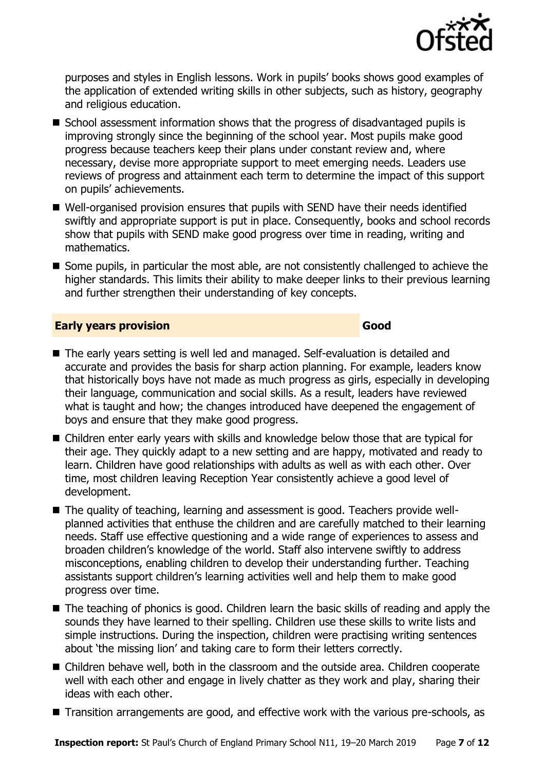

purposes and styles in English lessons. Work in pupils' books shows good examples of the application of extended writing skills in other subjects, such as history, geography and religious education.

- School assessment information shows that the progress of disadvantaged pupils is improving strongly since the beginning of the school year. Most pupils make good progress because teachers keep their plans under constant review and, where necessary, devise more appropriate support to meet emerging needs. Leaders use reviews of progress and attainment each term to determine the impact of this support on pupils' achievements.
- Well-organised provision ensures that pupils with SEND have their needs identified swiftly and appropriate support is put in place. Consequently, books and school records show that pupils with SEND make good progress over time in reading, writing and mathematics.
- Some pupils, in particular the most able, are not consistently challenged to achieve the higher standards. This limits their ability to make deeper links to their previous learning and further strengthen their understanding of key concepts.

#### **Early years provision Good Good**

- The early years setting is well led and managed. Self-evaluation is detailed and accurate and provides the basis for sharp action planning. For example, leaders know that historically boys have not made as much progress as girls, especially in developing their language, communication and social skills. As a result, leaders have reviewed what is taught and how; the changes introduced have deepened the engagement of boys and ensure that they make good progress.
- Children enter early years with skills and knowledge below those that are typical for their age. They quickly adapt to a new setting and are happy, motivated and ready to learn. Children have good relationships with adults as well as with each other. Over time, most children leaving Reception Year consistently achieve a good level of development.
- The quality of teaching, learning and assessment is good. Teachers provide wellplanned activities that enthuse the children and are carefully matched to their learning needs. Staff use effective questioning and a wide range of experiences to assess and broaden children's knowledge of the world. Staff also intervene swiftly to address misconceptions, enabling children to develop their understanding further. Teaching assistants support children's learning activities well and help them to make good progress over time.
- The teaching of phonics is good. Children learn the basic skills of reading and apply the sounds they have learned to their spelling. Children use these skills to write lists and simple instructions. During the inspection, children were practising writing sentences about 'the missing lion' and taking care to form their letters correctly.
- Children behave well, both in the classroom and the outside area. Children cooperate well with each other and engage in lively chatter as they work and play, sharing their ideas with each other.
- Transition arrangements are good, and effective work with the various pre-schools, as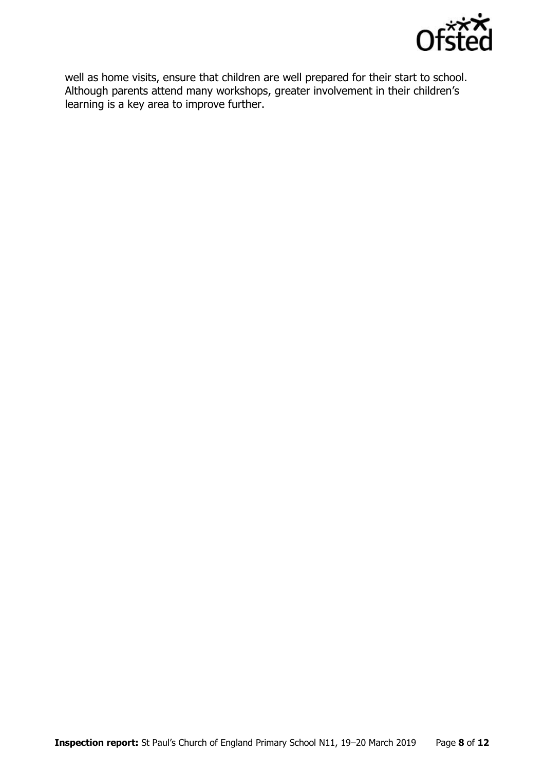

well as home visits, ensure that children are well prepared for their start to school. Although parents attend many workshops, greater involvement in their children's learning is a key area to improve further.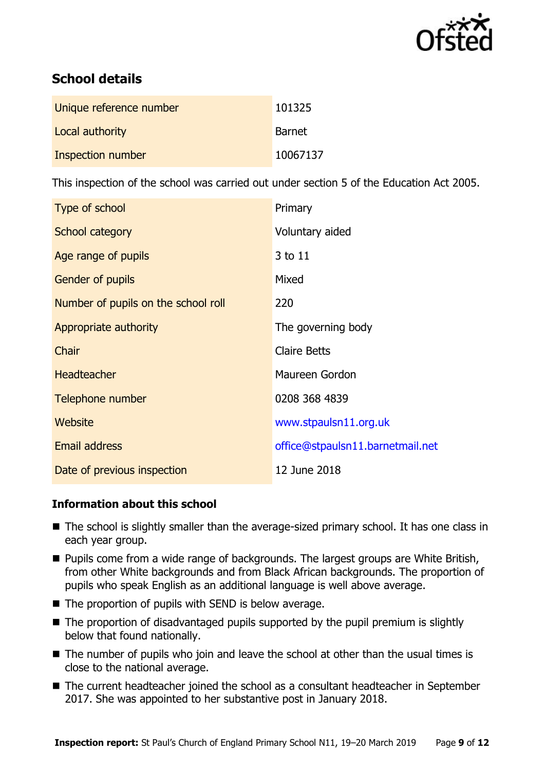

# **School details**

| Unique reference number | 101325        |
|-------------------------|---------------|
| Local authority         | <b>Barnet</b> |
| Inspection number       | 10067137      |

This inspection of the school was carried out under section 5 of the Education Act 2005.

| Type of school                      | Primary                          |
|-------------------------------------|----------------------------------|
| School category                     | Voluntary aided                  |
| Age range of pupils                 | 3 to 11                          |
| <b>Gender of pupils</b>             | Mixed                            |
| Number of pupils on the school roll | 220                              |
| Appropriate authority               | The governing body               |
| Chair                               | <b>Claire Betts</b>              |
| <b>Headteacher</b>                  | Maureen Gordon                   |
| Telephone number                    | 0208 368 4839                    |
| Website                             | www.stpaulsn11.org.uk            |
| <b>Email address</b>                | office@stpaulsn11.barnetmail.net |
| Date of previous inspection         | 12 June 2018                     |

### **Information about this school**

- The school is slightly smaller than the average-sized primary school. It has one class in each year group.
- $\blacksquare$  Pupils come from a wide range of backgrounds. The largest groups are White British, from other White backgrounds and from Black African backgrounds. The proportion of pupils who speak English as an additional language is well above average.
- $\blacksquare$  The proportion of pupils with SEND is below average.
- $\blacksquare$  The proportion of disadvantaged pupils supported by the pupil premium is slightly below that found nationally.
- The number of pupils who join and leave the school at other than the usual times is close to the national average.
- The current headteacher joined the school as a consultant headteacher in September 2017. She was appointed to her substantive post in January 2018.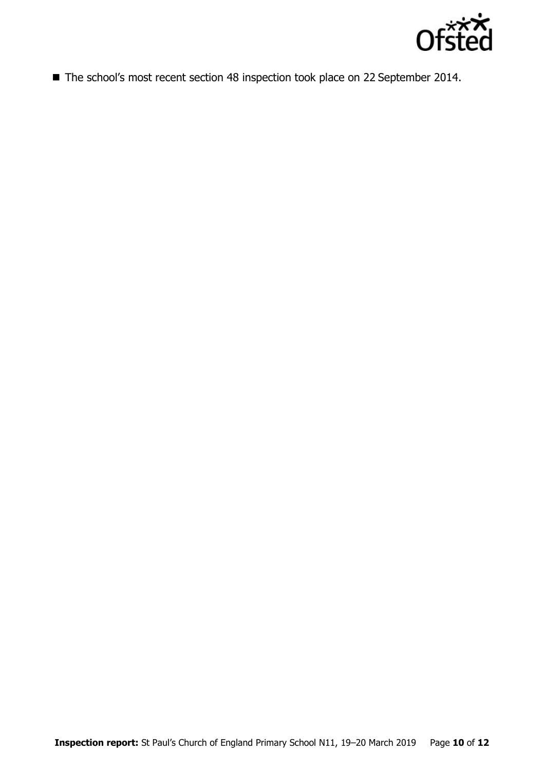

■ The school's most recent section 48 inspection took place on 22 September 2014.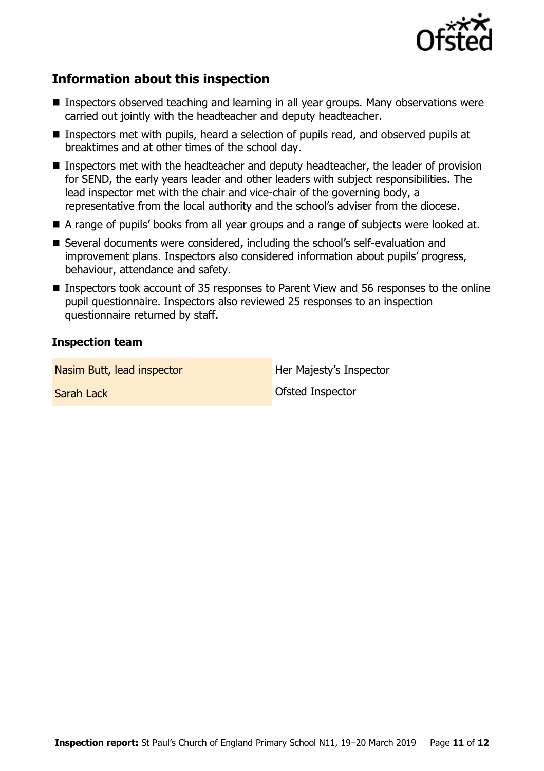

# **Information about this inspection**

- Inspectors observed teaching and learning in all year groups. Many observations were carried out jointly with the headteacher and deputy headteacher.
- Inspectors met with pupils, heard a selection of pupils read, and observed pupils at breaktimes and at other times of the school day.
- Inspectors met with the headteacher and deputy headteacher, the leader of provision for SEND, the early years leader and other leaders with subject responsibilities. The lead inspector met with the chair and vice-chair of the governing body, a representative from the local authority and the school's adviser from the diocese.
- A range of pupils' books from all year groups and a range of subjects were looked at.
- Several documents were considered, including the school's self-evaluation and improvement plans. Inspectors also considered information about pupils' progress, behaviour, attendance and safety.
- Inspectors took account of 35 responses to Parent View and 56 responses to the online pupil questionnaire. Inspectors also reviewed 25 responses to an inspection questionnaire returned by staff.

#### **Inspection team**

Nasim Butt, lead inspector **Her Majesty's Inspector** 

Sarah Lack Ofsted Inspector